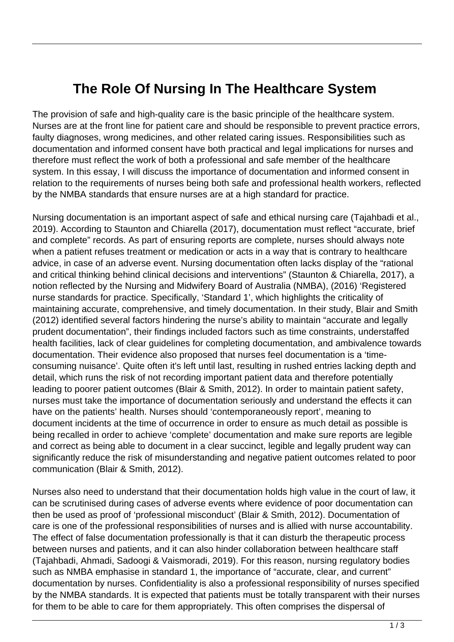## **The Role Of Nursing In The Healthcare System**

The provision of safe and high-quality care is the basic principle of the healthcare system. Nurses are at the front line for patient care and should be responsible to prevent practice errors, faulty diagnoses, wrong medicines, and other related caring issues. Responsibilities such as documentation and informed consent have both practical and legal implications for nurses and therefore must reflect the work of both a professional and safe member of the healthcare system. In this essay, I will discuss the importance of documentation and informed consent in relation to the requirements of nurses being both safe and professional health workers, reflected by the NMBA standards that ensure nurses are at a high standard for practice.

Nursing documentation is an important aspect of safe and ethical nursing care (Tajahbadi et al., 2019). According to Staunton and Chiarella (2017), documentation must reflect "accurate, brief and complete" records. As part of ensuring reports are complete, nurses should always note when a patient refuses treatment or medication or acts in a way that is contrary to healthcare advice, in case of an adverse event. Nursing documentation often lacks display of the "rational and critical thinking behind clinical decisions and interventions" (Staunton & Chiarella, 2017), a notion reflected by the Nursing and Midwifery Board of Australia (NMBA), (2016) 'Registered nurse standards for practice. Specifically, 'Standard 1', which highlights the criticality of maintaining accurate, comprehensive, and timely documentation. In their study, Blair and Smith (2012) identified several factors hindering the nurse's ability to maintain "accurate and legally prudent documentation", their findings included factors such as time constraints, understaffed health facilities, lack of clear guidelines for completing documentation, and ambivalence towards documentation. Their evidence also proposed that nurses feel documentation is a 'timeconsuming nuisance'. Quite often it's left until last, resulting in rushed entries lacking depth and detail, which runs the risk of not recording important patient data and therefore potentially leading to poorer patient outcomes (Blair & Smith, 2012). In order to maintain patient safety, nurses must take the importance of documentation seriously and understand the effects it can have on the patients' health. Nurses should 'contemporaneously report', meaning to document incidents at the time of occurrence in order to ensure as much detail as possible is being recalled in order to achieve 'complete' documentation and make sure reports are legible and correct as being able to document in a clear succinct, legible and legally prudent way can significantly reduce the risk of misunderstanding and negative patient outcomes related to poor communication (Blair & Smith, 2012).

Nurses also need to understand that their documentation holds high value in the court of law, it can be scrutinised during cases of adverse events where evidence of poor documentation can then be used as proof of 'professional misconduct' (Blair & Smith, 2012). Documentation of care is one of the professional responsibilities of nurses and is allied with nurse accountability. The effect of false documentation professionally is that it can disturb the therapeutic process between nurses and patients, and it can also hinder collaboration between healthcare staff (Tajahbadi, Ahmadi, Sadoogi & Vaismoradi, 2019). For this reason, nursing regulatory bodies such as NMBA emphasise in standard 1, the importance of "accurate, clear, and current" documentation by nurses. Confidentiality is also a professional responsibility of nurses specified by the NMBA standards. It is expected that patients must be totally transparent with their nurses for them to be able to care for them appropriately. This often comprises the dispersal of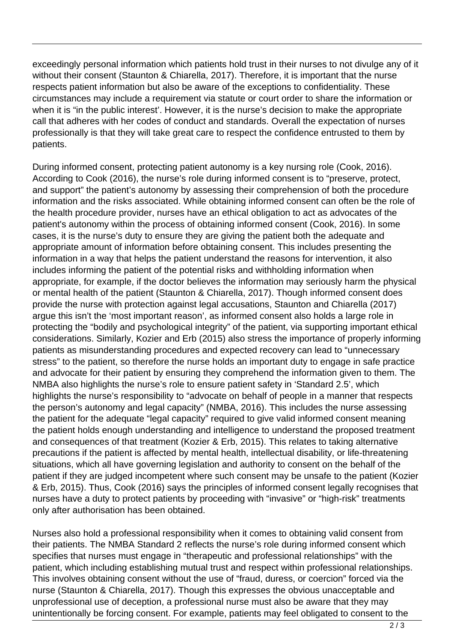exceedingly personal information which patients hold trust in their nurses to not divulge any of it without their consent (Staunton & Chiarella, 2017). Therefore, it is important that the nurse respects patient information but also be aware of the exceptions to confidentiality. These circumstances may include a requirement via statute or court order to share the information or when it is "in the public interest". However, it is the nurse's decision to make the appropriate call that adheres with her codes of conduct and standards. Overall the expectation of nurses professionally is that they will take great care to respect the confidence entrusted to them by patients.

During informed consent, protecting patient autonomy is a key nursing role (Cook, 2016). According to Cook (2016), the nurse's role during informed consent is to "preserve, protect, and support" the patient's autonomy by assessing their comprehension of both the procedure information and the risks associated. While obtaining informed consent can often be the role of the health procedure provider, nurses have an ethical obligation to act as advocates of the patient's autonomy within the process of obtaining informed consent (Cook, 2016). In some cases, it is the nurse's duty to ensure they are giving the patient both the adequate and appropriate amount of information before obtaining consent. This includes presenting the information in a way that helps the patient understand the reasons for intervention, it also includes informing the patient of the potential risks and withholding information when appropriate, for example, if the doctor believes the information may seriously harm the physical or mental health of the patient (Staunton & Chiarella, 2017). Though informed consent does provide the nurse with protection against legal accusations, Staunton and Chiarella (2017) argue this isn't the 'most important reason', as informed consent also holds a large role in protecting the "bodily and psychological integrity" of the patient, via supporting important ethical considerations. Similarly, Kozier and Erb (2015) also stress the importance of properly informing patients as misunderstanding procedures and expected recovery can lead to "unnecessary stress" to the patient, so therefore the nurse holds an important duty to engage in safe practice and advocate for their patient by ensuring they comprehend the information given to them. The NMBA also highlights the nurse's role to ensure patient safety in 'Standard 2.5', which highlights the nurse's responsibility to "advocate on behalf of people in a manner that respects the person's autonomy and legal capacity" (NMBA, 2016). This includes the nurse assessing the patient for the adequate "legal capacity" required to give valid informed consent meaning the patient holds enough understanding and intelligence to understand the proposed treatment and consequences of that treatment (Kozier & Erb, 2015). This relates to taking alternative precautions if the patient is affected by mental health, intellectual disability, or life-threatening situations, which all have governing legislation and authority to consent on the behalf of the patient if they are judged incompetent where such consent may be unsafe to the patient (Kozier & Erb, 2015). Thus, Cook (2016) says the principles of informed consent legally recognises that nurses have a duty to protect patients by proceeding with "invasive" or "high-risk" treatments only after authorisation has been obtained.

Nurses also hold a professional responsibility when it comes to obtaining valid consent from their patients. The NMBA Standard 2 reflects the nurse's role during informed consent which specifies that nurses must engage in "therapeutic and professional relationships" with the patient, which including establishing mutual trust and respect within professional relationships. This involves obtaining consent without the use of "fraud, duress, or coercion" forced via the nurse (Staunton & Chiarella, 2017). Though this expresses the obvious unacceptable and unprofessional use of deception, a professional nurse must also be aware that they may unintentionally be forcing consent. For example, patients may feel obligated to consent to the